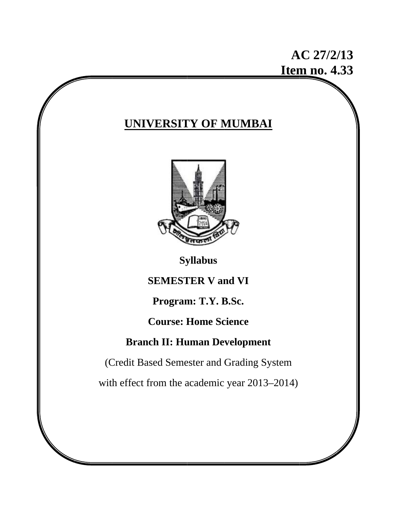# **A AC 27/2/ 13 Item no. 4.33**

## **UNIVERSITY OF MUMBAI**



**Sy yllabus** 

**SEMESTER V and VI** 

**Program m: T.Y. B B.Sc.** 

**C Course: H Home Sc cience** 

## **Branch II: Human Development**

(Credit Based Semester and Grading System

with effect from the academic year 2013–2014)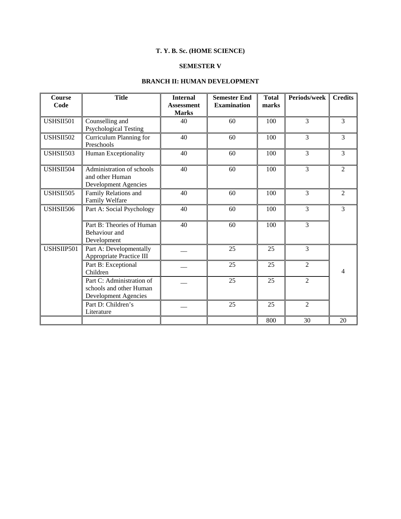## **T. Y. B. Sc. (HOME SCIENCE)**

## **SEMESTER V**

## **BRANCH II: HUMAN DEVELOPMENT**

| <b>Course</b><br>Code | <b>Title</b>                                                                        | <b>Internal</b><br><b>Assessment</b><br><b>Marks</b> | <b>Semester End</b><br><b>Examination</b> | <b>Total</b><br>marks | Periods/week   | <b>Credits</b> |
|-----------------------|-------------------------------------------------------------------------------------|------------------------------------------------------|-------------------------------------------|-----------------------|----------------|----------------|
| <b>USHSII501</b>      | Counselling and<br><b>Psychological Testing</b>                                     | 40                                                   | 60                                        | 100                   | 3              | 3              |
| <b>USHSII502</b>      | Curriculum Planning for<br>Preschools                                               | 40                                                   | 60                                        | 100                   | 3              | 3              |
| USHSII503             | Human Exceptionality                                                                | 40                                                   | 60                                        | 100                   | 3              | 3              |
| USHSII504             | Administration of schools<br>and other Human<br><b>Development Agencies</b>         | 40                                                   | 60                                        | 100                   | $\overline{3}$ | $\overline{2}$ |
| USHSII505             | Family Relations and<br>Family Welfare                                              | 40                                                   | 60                                        | 100                   | 3              | $\overline{2}$ |
| <b>USHSII506</b>      | Part A: Social Psychology                                                           | 40                                                   | 60                                        | 100                   | 3              | 3              |
|                       | Part B: Theories of Human<br>Behaviour and<br>Development                           | 40                                                   | 60                                        | 100                   | 3              |                |
| USHSIIP501            | Part A: Developmentally<br>Appropriate Practice III                                 |                                                      | 25                                        | 25                    | 3              |                |
|                       | Part B: Exceptional<br>Children                                                     |                                                      | 25                                        | 25                    | $\overline{2}$ | 4              |
|                       | Part C: Administration of<br>schools and other Human<br><b>Development Agencies</b> |                                                      | 25                                        | 25                    | $\overline{2}$ |                |
|                       | Part D: Children's<br>Literature                                                    |                                                      | 25                                        | 25                    | $\overline{2}$ |                |
|                       |                                                                                     |                                                      |                                           | 800                   | 30             | 20             |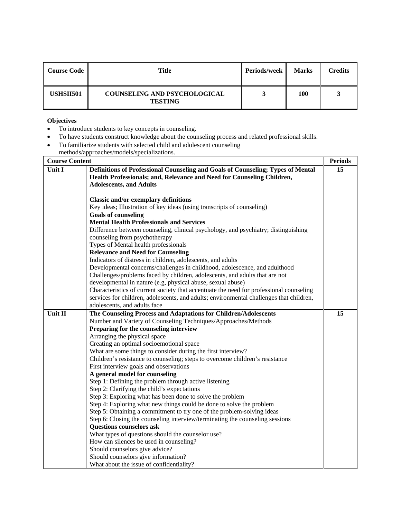| Course Code | Title                                                 | <b>Periods/week</b> | <b>Marks</b> | <b>Credits</b> |
|-------------|-------------------------------------------------------|---------------------|--------------|----------------|
| USHSII501   | <b>COUNSELING AND PSYCHOLOGICAL</b><br><b>TESTING</b> |                     | 100          |                |

- To introduce students to key concepts in counseling.
- To have students construct knowledge about the counseling process and related professional skills.
- To familiarize students with selected child and adolescent counseling
	- methods/approaches/models/specializations.

| <b>Course Content</b> |                                                                                                                                                           |    |
|-----------------------|-----------------------------------------------------------------------------------------------------------------------------------------------------------|----|
| Unit I                | Definitions of Professional Counseling and Goals of Counseling; Types of Mental<br>Health Professionals; and, Relevance and Need for Counseling Children, | 15 |
|                       | <b>Adolescents, and Adults</b>                                                                                                                            |    |
|                       | <b>Classic and/or exemplary definitions</b>                                                                                                               |    |
|                       | Key ideas; Illustration of key ideas (using transcripts of counseling)                                                                                    |    |
|                       | <b>Goals of counseling</b>                                                                                                                                |    |
|                       | <b>Mental Health Professionals and Services</b>                                                                                                           |    |
|                       | Difference between counseling, clinical psychology, and psychiatry; distinguishing                                                                        |    |
|                       | counseling from psychotherapy                                                                                                                             |    |
|                       | Types of Mental health professionals                                                                                                                      |    |
|                       | <b>Relevance and Need for Counseling</b>                                                                                                                  |    |
|                       | Indicators of distress in children, adolescents, and adults                                                                                               |    |
|                       | Developmental concerns/challenges in childhood, adolescence, and adulthood<br>Challenges/problems faced by children, adolescents, and adults that are not |    |
|                       | developmental in nature (e.g, physical abuse, sexual abuse)                                                                                               |    |
|                       | Characteristics of current society that accentuate the need for professional counseling                                                                   |    |
|                       | services for children, adolescents, and adults; environmental challenges that children,                                                                   |    |
|                       | adolescents, and adults face                                                                                                                              |    |
| Unit II               | The Counseling Process and Adaptations for Children/Adolescents                                                                                           | 15 |
|                       | Number and Variety of Counseling Techniques/Approaches/Methods                                                                                            |    |
|                       | Preparing for the counseling interview                                                                                                                    |    |
|                       | Arranging the physical space                                                                                                                              |    |
|                       | Creating an optimal socioemotional space                                                                                                                  |    |
|                       | What are some things to consider during the first interview?                                                                                              |    |
|                       | Children's resistance to counseling; steps to overcome children's resistance                                                                              |    |
|                       | First interview goals and observations                                                                                                                    |    |
|                       | A general model for counseling                                                                                                                            |    |
|                       | Step 1: Defining the problem through active listening                                                                                                     |    |
|                       | Step 2: Clarifying the child's expectations                                                                                                               |    |
|                       | Step 3: Exploring what has been done to solve the problem                                                                                                 |    |
|                       | Step 4: Exploring what new things could be done to solve the problem                                                                                      |    |
|                       | Step 5: Obtaining a commitment to try one of the problem-solving ideas                                                                                    |    |
|                       | Step 6: Closing the counseling interview/terminating the counseling sessions                                                                              |    |
|                       | <b>Questions counselors ask</b><br>What types of questions should the counselor use?                                                                      |    |
|                       | How can silences be used in counseling?                                                                                                                   |    |
|                       | Should counselors give advice?                                                                                                                            |    |
|                       | Should counselors give information?                                                                                                                       |    |
|                       | What about the issue of confidentiality?                                                                                                                  |    |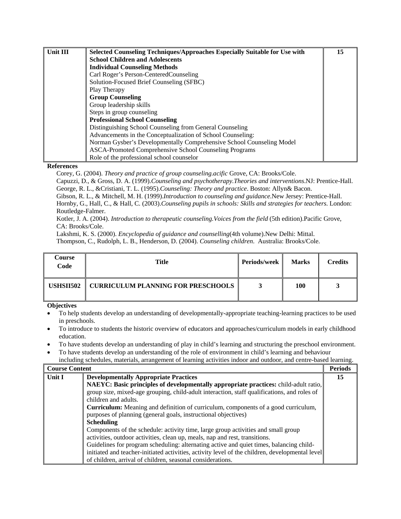| Unit III | Selected Counseling Techniques/Approaches Especially Suitable for Use with | 15 |
|----------|----------------------------------------------------------------------------|----|
|          | <b>School Children and Adolescents</b>                                     |    |
|          | <b>Individual Counseling Methods</b>                                       |    |
|          | Carl Roger's Person-CenteredCounseling                                     |    |
|          | Solution-Focused Brief Counseling (SFBC)                                   |    |
|          | Play Therapy                                                               |    |
|          | <b>Group Counseling</b>                                                    |    |
|          | Group leadership skills                                                    |    |
|          | Steps in group counseling                                                  |    |
|          | <b>Professional School Counseling</b>                                      |    |
|          | Distinguishing School Counseling from General Counseling                   |    |
|          | Advancements in the Conceptualization of School Counseling:                |    |
|          | Norman Gysber's Developmentally Comprehensive School Counseling Model      |    |
|          | ASCA-Promoted Comprehensive School Counseling Programs                     |    |
|          | Role of the professional school counselor                                  |    |

Corey, G. (2004). *Theory and practice of group counseling.acific* Grove, CA: Brooks/Cole.

Capuzzi, D., & Gross, D. A. (1999).*Counseling and psychotherapy.Theories and interventions*.NJ: Prentice-Hall.

George, R. L., &Cristiani, T. L. (1995).*Counseling: Theory and practice*. Boston: Allyn& Bacon.

Gibson, R. L., & Mitchell, M. H. (1999).*Introduction to counseling and guidance*.New Jersey: Prentice-Hall. Hornby, G., Hall, C., & Hall, C. (2003).*Counseling pupils in schools: Skills and strategies for teachers*. London: Routledge-Falmer.

Kotler, J. A. (2004). *Introduction to therapeutic counseling.Voices from the field* (5th edition).Pacific Grove, CA: Brooks/Cole.

Lakshmi, K. S. (2000). *Encyclopedia of guidance and counselling*(4th volume).New Delhi: Mittal.

Thompson, C., Rudolph, L. B., Henderson, D. (2004). *Counseling children*. Australia: Brooks/Cole.

| Course<br>Code | <b>Title</b>                              | Periods/week | <b>Marks</b> | <b>Credits</b> |
|----------------|-------------------------------------------|--------------|--------------|----------------|
| USHSII502      | <b>CURRICULUM PLANNING FOR PRESCHOOLS</b> |              | 100          |                |

- To help students develop an understanding of developmentally-appropriate teaching-learning practices to be used in preschools.
- To introduce to students the historic overview of educators and approaches/curriculum models in early childhood education.
- To have students develop an understanding of play in child's learning and structuring the preschool environment.
- To have students develop an understanding of the role of environment in child's learning and behaviour including schedules, materials, arrangement of learning activities indoor and outdoor, and centre-based learning.

| <b>Course Content</b> |                                                                                                 | <b>Periods</b> |
|-----------------------|-------------------------------------------------------------------------------------------------|----------------|
| Unit I                | <b>Developmentally Appropriate Practices</b>                                                    | 15             |
|                       | NAEYC: Basic principles of developmentally appropriate practices: child-adult ratio,            |                |
|                       | group size, mixed-age grouping, child-adult interaction, staff qualifications, and roles of     |                |
|                       | children and adults.                                                                            |                |
|                       | <b>Curriculum:</b> Meaning and definition of curriculum, components of a good curriculum,       |                |
|                       | purposes of planning (general goals, instructional objectives)                                  |                |
|                       | <b>Scheduling</b>                                                                               |                |
|                       | Components of the schedule: activity time, large group activities and small group               |                |
|                       | activities, outdoor activities, clean up, meals, nap and rest, transitions.                     |                |
|                       | Guidelines for program scheduling: alternating active and quiet times, balancing child-         |                |
|                       | initiated and teacher-initiated activities, activity level of the children, developmental level |                |
|                       | of children, arrival of children, seasonal considerations.                                      |                |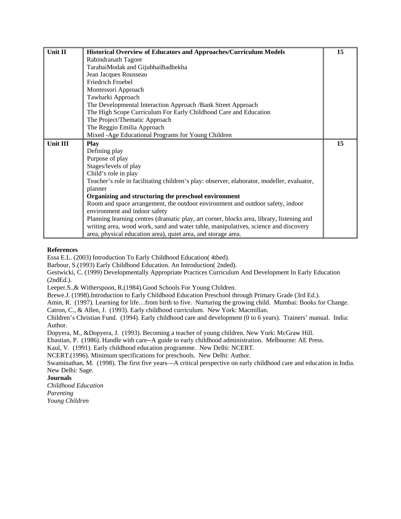| Unit II  | Historical Overview of Educators and Approaches/Curriculum Models                          | 15 |
|----------|--------------------------------------------------------------------------------------------|----|
|          | Rabindranath Tagore                                                                        |    |
|          | TarabaiModak and GijubhaiBadhekha                                                          |    |
|          | Jean Jacques Rousseau                                                                      |    |
|          | Friedrich Froebel                                                                          |    |
|          | Montessori Approach                                                                        |    |
|          | Tawharki Approach                                                                          |    |
|          | The Developmental Interaction Approach /Bank Street Approach                               |    |
|          | The High Scope Curriculum For Early Childhood Care and Education                           |    |
|          | The Project/Thematic Approach                                                              |    |
|          | The Reggio Emilia Approach                                                                 |    |
|          | Mixed -Age Educational Programs for Young Children                                         |    |
| Unit III | <b>Play</b>                                                                                | 15 |
|          | Defining play                                                                              |    |
|          | Purpose of play                                                                            |    |
|          | Stages/levels of play                                                                      |    |
|          | Child's role in play                                                                       |    |
|          | Teacher's role in facilitating children's play: observer, elaborator, modeller, evaluator, |    |
|          | planner                                                                                    |    |
|          | Organizing and structuring the preschool environment                                       |    |
|          | Room and space arrangement, the outdoor environment and outdoor safety, indoor             |    |
|          | environment and indoor safety                                                              |    |
|          | Planning learning centres (dramatic play, art corner, blocks area, library, listening and  |    |
|          | writing area, wood work, sand and water table, manipulatives, science and discovery        |    |
|          | area, physical education area), quiet area, and storage area.                              |    |

Essa E.L. (2003) Introduction To Early Childhood Education( 4thed).

Barbour, S.(1993) Early Childhood Education. An Introduction( 2nded).

Gestwicki, C. (1999) Developmentally Appropriate Practices Curriculum And Development In Early Education (2ndEd.).

Leeper.S.,& Witherspoon, R.(1984).Good Schools For Young Children.

Brewe.J. (1998).Introduction to Early Childhood Education Preschool through Primary Grade (3rd Ed.).

Amin, R. (1997). Learning for life…from birth to five. Nurturing the growing child. Mumbai: Books for Change.

Catron, C., & Allen, J. (1993). Early childhood curriculum. New York: Macmillan. Children's Christian Fund. (1994). Early childhood care and development (0 to 6 years). Trainers' manual. India:

Author.

Dopyera, M., &Dopyera, J. (1993). Becoming a teacher of young children. New York: McGraw Hill.

Ebastian, P. (1986). Handle with care--A guide to early childhood administration. Melbourne: AE Press.

Kaul, V. (1991). Early childhood education programme. New Delhi: NCERT.

NCERT.(1996). Minimum specifications for preschools. New Delhi: Author.

Swaminathan, M. (1998). The first five years—A critical perspective on early childhood care and education in India. New Delhi: Sage.

## **Journals**

*Childhood Education Parenting Young Children*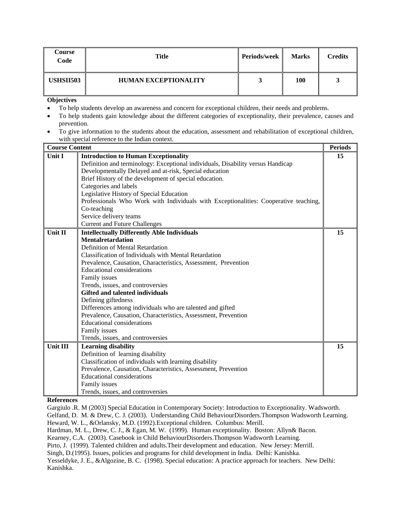| Course<br>Code | <b>Title</b>                | <b>Periods/week</b> | <b>Marks</b> | Credits |
|----------------|-----------------------------|---------------------|--------------|---------|
| USHSII503      | <b>HUMAN EXCEPTIONALITY</b> |                     | 100          |         |

- To help students develop an awareness and concern for exceptional children, their needs and problems.
- To help students gain knowledge about the different categories of exceptionality, their prevalence, causes and prevention.
- To give information to the students about the education, assessment and rehabilitation of exceptional children, with special reference to the Indian context.

| <b>Course Content</b> |                                                                                      | <b>Periods</b> |
|-----------------------|--------------------------------------------------------------------------------------|----------------|
| Unit I                | <b>Introduction to Human Exceptionality</b>                                          | 15             |
|                       | Definition and terminology: Exceptional individuals, Disability versus Handicap      |                |
|                       | Developmentally Delayed and at-risk, Special education                               |                |
|                       | Brief History of the development of special education.                               |                |
|                       | Categories and labels                                                                |                |
|                       | Legislative History of Special Education                                             |                |
|                       | Professionals Who Work with Individuals with Exceptionalities: Cooperative teaching, |                |
|                       | Co-teaching                                                                          |                |
|                       | Service delivery teams                                                               |                |
|                       | <b>Current and Future Challenges</b>                                                 |                |
| Unit II               | <b>Intellectually Differently Able Individuals</b>                                   | 15             |
|                       | <b>Mentalretardation</b>                                                             |                |
|                       | Definition of Mental Retardation                                                     |                |
|                       | <b>Classification of Individuals with Mental Retardation</b>                         |                |
|                       | Prevalence, Causation, Characteristics, Assessment, Prevention                       |                |
|                       | <b>Educational considerations</b>                                                    |                |
|                       | Family issues                                                                        |                |
|                       | Trends, issues, and controversies                                                    |                |
|                       | Gifted and talented individuals                                                      |                |
|                       | Defining giftedness                                                                  |                |
|                       | Differences among individuals who are talented and gifted                            |                |
|                       | Prevalence, Causation, Characteristics, Assessment, Prevention                       |                |
|                       | <b>Educational considerations</b>                                                    |                |
|                       | Family issues                                                                        |                |
|                       | Trends, issues, and controversies                                                    |                |
| Unit III              | <b>Learning disability</b>                                                           | 15             |
|                       | Definition of learning disability                                                    |                |
|                       | Classification of individuals with learning disability                               |                |
|                       | Prevalence, Causation, Characteristics, Assessment, Prevention                       |                |
|                       | <b>Educational considerations</b>                                                    |                |
|                       | Family issues                                                                        |                |
|                       | Trends, issues, and controversies                                                    |                |

## **References**

Gargiulo .R. M (2003) Special Education in Contemporary Society: Introduction to Exceptionality. Wadsworth. Gelfand, D. M. & Drew, C. J. (2003). Understanding Child BehaviourDisorders.Thompson Wadsworth Learning. Heward, W. L., &Orlansky, M.D. (1992).Exceptional children. Columbus: Merill. Hardman, M. L., Drew, C. J., & Egan, M. W. (1999). Human exceptionality. Boston: Allyn& Bacon. Kearney, C.A. (2003). Casebook in Child BehaviourDisorders.Thompson Wadsworth Learning. Pirto, J. (1999). Talented children and adults.Their development and education. New Jersey: Merrill. Singh, D.(1995). Issues, policies and programs for child development in India. Delhi: Kanishka. Yesseldyke, J. E., &Algozine, B. C. (1998). Special education: A practice approach for teachers. New Delhi: Kanishka.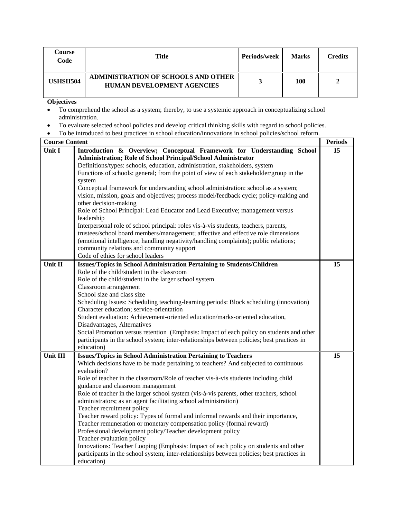| Course<br>Code   | Title                                                                    | <b>Periods/week</b> | <b>Marks</b> | Credits |
|------------------|--------------------------------------------------------------------------|---------------------|--------------|---------|
| <b>USHSII504</b> | ADMINISTRATION OF SCHOOLS AND OTHER<br><b>HUMAN DEVELOPMENT AGENCIES</b> |                     | 100          |         |

- To comprehend the school as a system; thereby, to use a systemic approach in conceptualizing school administration.
- To evaluate selected school policies and develop critical thinking skills with regard to school policies.
- To be introduced to best practices in school education/innovations in school policies/school reform.

| <b>Course Content</b> |                                                                                            | <b>Periods</b> |
|-----------------------|--------------------------------------------------------------------------------------------|----------------|
| Unit I                | Introduction & Overview; Conceptual Framework for Understanding School                     | 15             |
|                       | Administration; Role of School Principal/School Administrator                              |                |
|                       | Definitions/types: schools, education, administration, stakeholders, system                |                |
|                       | Functions of schools: general; from the point of view of each stakeholder/group in the     |                |
|                       | system                                                                                     |                |
|                       | Conceptual framework for understanding school administration: school as a system;          |                |
|                       | vision, mission, goals and objectives; process model/feedback cycle; policy-making and     |                |
|                       | other decision-making                                                                      |                |
|                       | Role of School Principal: Lead Educator and Lead Executive; management versus              |                |
|                       | leadership                                                                                 |                |
|                       | Interpersonal role of school principal: roles vis-à-vis students, teachers, parents,       |                |
|                       | trustees/school board members/management; affective and effective role dimensions          |                |
|                       | (emotional intelligence, handling negativity/handling complaints); public relations;       |                |
|                       | community relations and community support                                                  |                |
|                       | Code of ethics for school leaders                                                          |                |
| Unit II               | <b>Issues/Topics in School Administration Pertaining to Students/Children</b>              | 15             |
|                       | Role of the child/student in the classroom                                                 |                |
|                       | Role of the child/student in the larger school system                                      |                |
|                       |                                                                                            |                |
|                       | Classroom arrangement<br>School size and class size                                        |                |
|                       |                                                                                            |                |
|                       | Scheduling Issues: Scheduling teaching-learning periods: Block scheduling (innovation)     |                |
|                       | Character education; service-orientation                                                   |                |
|                       | Student evaluation: Achievement-oriented education/marks-oriented education,               |                |
|                       | Disadvantages, Alternatives                                                                |                |
|                       | Social Promotion versus retention (Emphasis: Impact of each policy on students and other   |                |
|                       | participants in the school system; inter-relationships between policies; best practices in |                |
|                       | education)                                                                                 |                |
| Unit III              | <b>Issues/Topics in School Administration Pertaining to Teachers</b>                       | 15             |
|                       | Which decisions have to be made pertaining to teachers? And subjected to continuous        |                |
|                       | evaluation?                                                                                |                |
|                       | Role of teacher in the classroom/Role of teacher vis-à-vis students including child        |                |
|                       | guidance and classroom management                                                          |                |
|                       | Role of teacher in the larger school system (vis-à-vis parents, other teachers, school     |                |
|                       | administrators; as an agent facilitating school administration)                            |                |
|                       | Teacher recruitment policy                                                                 |                |
|                       | Teacher reward policy: Types of formal and informal rewards and their importance,          |                |
|                       | Teacher remuneration or monetary compensation policy (formal reward)                       |                |
|                       | Professional development policy/Teacher development policy                                 |                |
|                       | Teacher evaluation policy                                                                  |                |
|                       | Innovations: Teacher Looping (Emphasis: Impact of each policy on students and other        |                |
|                       | participants in the school system; inter-relationships between policies; best practices in |                |
|                       | education)                                                                                 |                |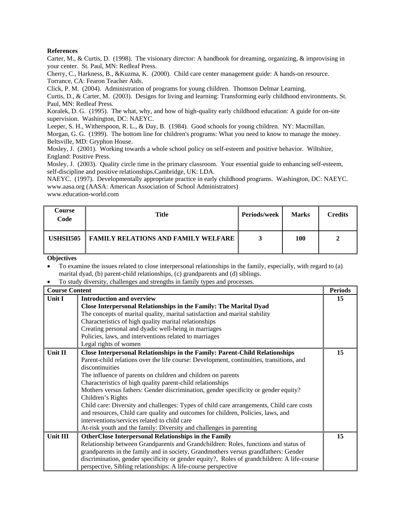Carter, M., & Curtis, D. (1998). The visionary director: A handbook for dreaming, organizing, & improvising in your center. St. Paul, MN: Redleaf Press.

Cherry, C., Harkness, B., &Kuzma, K. (2000). Child care center management guide: A hands-on resource. Torrance, CA: Fearon Teacher Aids.

Click, P. M. (2004). Administration of programs for young children. Thomson Delmar Learning.

Curtis, D., & Carter, M. (2003). Designs for living and learning: Transforming early childhood environments. St. Paul, MN: Redleaf Press.

Koralek, D. G. (1995). The what, why, and how of high-quality early childhood education: A guide for on-site supervision. Washington, DC: NAEYC.

Leeper, S. H., Witherspoon, R. L., & Day, B. (1984). Good schools for young children. NY: Macmillan. Morgan, G. G. (1999). The bottom line for children's programs: What you need to know to manage the money. Beltsville, MD: Gryphon House.

Mosley, J. (2001). Working towards a whole school policy on self-esteem and positive behavior. Wiltshire, England: Positive Press.

Mosley, J. (2003). Quality circle time in the primary classroom. Your essential guide to enhancing self-esteem, self-discipline and positive relationships.Cambridge, UK: LDA.

NAEYC. (1997). Developmentally appropriate practice in early childhood programs. Washington, DC: NAEYC. www.aasa.org (AASA: American Association of School Administrators)

www.education-world.com

| Course<br>Code | Title                                      | <b>Periods/week</b> | <b>Marks</b> | <b>Credits</b> |
|----------------|--------------------------------------------|---------------------|--------------|----------------|
| USHSII505      | <b>FAMILY RELATIONS AND FAMILY WELFARE</b> |                     | 100          |                |

**Objectives** 

• To examine the issues related to close interpersonal relationships in the family, especially, with regard to (a) marital dyad, (b) parent-child relationships, (c) grandparents and (d) siblings.

• To study diversity, challenges and strengths in family types and processes.

| <b>Course Content</b> |                                                                                             | <b>Periods</b> |
|-----------------------|---------------------------------------------------------------------------------------------|----------------|
| Unit I                | <b>Introduction and overview</b>                                                            | 15             |
|                       | Close Interpersonal Relationships in the Family: The Marital Dyad                           |                |
|                       | The concepts of marital quality, marital satisfaction and marital stability                 |                |
|                       | Characteristics of high quality marital relationships                                       |                |
|                       | Creating personal and dyadic well-being in marriages                                        |                |
|                       | Policies, laws, and interventions related to marriages                                      |                |
|                       | Legal rights of women                                                                       |                |
| Unit II               | Close Interpersonal Relationships in the Family: Parent-Child Relationships                 | 15             |
|                       | Parent-child relations over the life course: Development, continuities, transitions, and    |                |
|                       | discontinuities                                                                             |                |
|                       | The influence of parents on children and children on parents                                |                |
|                       | Characteristics of high quality parent-child relationships                                  |                |
|                       | Mothers versus fathers: Gender discrimination, gender specificity or gender equity?         |                |
|                       | Children's Rights                                                                           |                |
|                       | Child care: Diversity and challenges: Types of child care arrangements, Child care costs    |                |
|                       | and resources, Child care quality and outcomes for children, Policies, laws, and            |                |
|                       | interventions/services related to child care                                                |                |
|                       | At-risk youth and the family: Diversity and challenges in parenting                         |                |
| Unit III              | <b>OtherClose Interpersonal Relationships in the Family</b>                                 | 15             |
|                       | Relationship between Grandparents and Grandchildren: Roles, functions and status of         |                |
|                       | grandparents in the family and in society, Grandmothers versus grandfathers: Gender         |                |
|                       | discrimination, gender specificity or gender equity?, Roles of grandchildren: A life-course |                |
|                       | perspective, Sibling relationships: A life-course perspective                               |                |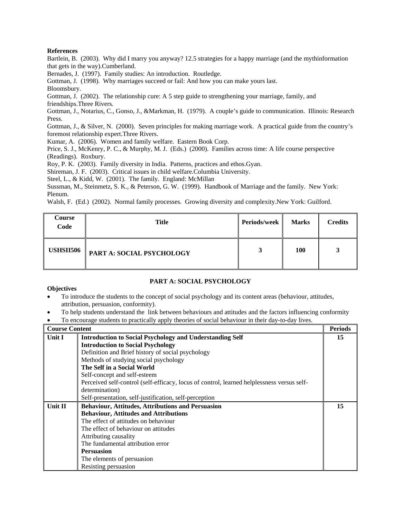Bartlein, B. (2003). Why did I marry you anyway? 12.5 strategies for a happy marriage (and the mythinformation that gets in the way).Cumberland.

Bernades, J. (1997). Family studies: An introduction. Routledge.

Gottman, J. (1998). Why marriages succeed or fail: And how you can make yours last.

Bloomsbury.

Gottman, J. (2002). The relationship cure: A 5 step guide to strengthening your marriage, family, and friendships.Three Rivers.

Gottman, J., Notarius, C., Gonso, J., &Markman, H. (1979). A couple's guide to communication. Illinois: Research Press.

Gottman, J., & Silver, N. (2000). Seven principles for making marriage work. A practical guide from the country's foremost relationship expert.Three Rivers.

Kumar, A. (2006). Women and family welfare. Eastern Book Corp.

Price, S. J., McKenry, P. C., & Murphy, M. J. (Eds.) (2000). Families across time: A life course perspective (Readings). Roxbury.

Roy, P. K. (2003). Family diversity in India. Patterns, practices and ethos.Gyan.

Shireman, J. F. (2003). Critical issues in child welfare.Columbia University.

Steel, L., & Kidd, W. (2001). The family. England: McMillan

Sussman, M., Steinmetz, S. K., & Peterson, G. W. (1999). Handbook of Marriage and the family. New York: Plenum.

Walsh, F. (Ed.) (2002). Normal family processes. Growing diversity and complexity.New York: Guilford.

| Course<br>Code   | <b>Title</b>              | Periods/week | <b>Marks</b> | <b>Credits</b> |
|------------------|---------------------------|--------------|--------------|----------------|
| <b>USHSII506</b> | PART A: SOCIAL PSYCHOLOGY |              | <b>100</b>   |                |

## **PART A: SOCIAL PSYCHOLOGY**

- To introduce the students to the concept of social psychology and its content areas (behaviour, attitudes, attribution, persuasion, conformity).
- To help students understand the link between behaviours and attitudes and the factors influencing conformity
- To encourage students to practically apply theories of social behaviour in their day-to-day lives.

| <b>Course Content</b> |                                                                                            | <b>Periods</b> |
|-----------------------|--------------------------------------------------------------------------------------------|----------------|
| Unit I                | <b>Introduction to Social Psychology and Understanding Self</b>                            | 15             |
|                       | <b>Introduction to Social Psychology</b>                                                   |                |
|                       | Definition and Brief history of social psychology                                          |                |
|                       | Methods of studying social psychology                                                      |                |
|                       | The Self in a Social World                                                                 |                |
|                       | Self-concept and self-esteem                                                               |                |
|                       | Perceived self-control (self-efficacy, locus of control, learned helplessness versus self- |                |
|                       | determination)                                                                             |                |
|                       | Self-presentation, self-justification, self-perception                                     |                |
| Unit II               | <b>Behaviour, Attitudes, Attributions and Persuasion</b>                                   | 15             |
|                       | <b>Behaviour, Attitudes and Attributions</b>                                               |                |
|                       | The effect of attitudes on behaviour                                                       |                |
|                       | The effect of behaviour on attitudes                                                       |                |
|                       | Attributing causality                                                                      |                |
|                       | The fundamental attribution error                                                          |                |
|                       | <b>Persuasion</b>                                                                          |                |
|                       | The elements of persuasion                                                                 |                |
|                       | Resisting persuasion                                                                       |                |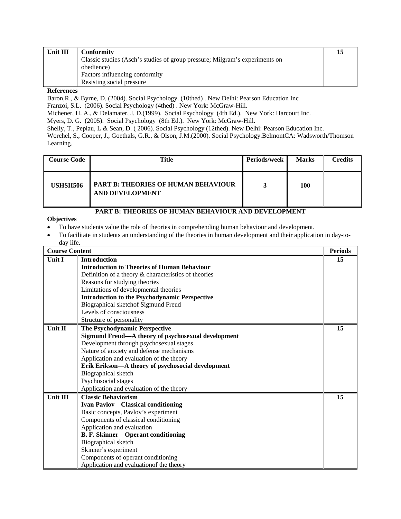| Unit III | Conformity                                                                  |  |
|----------|-----------------------------------------------------------------------------|--|
|          | Classic studies (Asch's studies of group pressure; Milgram's experiments on |  |
|          | obedience)                                                                  |  |
|          | Factors influencing conformity                                              |  |
|          | Resisting social pressure                                                   |  |
|          |                                                                             |  |

Baron,R., & Byrne, D. (2004). Social Psychology. (10thed) . New Delhi: Pearson Education Inc Franzoi, S.L. (2006). Social Psychology (4thed) . New York: McGraw-Hill.

Michener, H. A., & Delamater, J. D.(1999). Social Psychology (4th Ed.). New York: Harcourt Inc.

Myers, D. G. (2005). Social Psychology (8th Ed.). New York: McGraw-Hill.

Shelly, T., Peplau, L & Sean, D. ( 2006). Social Psychology (12thed). New Delhi: Pearson Education Inc.

Worchel, S., Cooper, J., Goethals, G.R., & Olson, J.M.(2000). Social Psychology.BelmontCA: Wadsworth/Thomson Learning.

| <b>Course Code</b> | Title                                                         | Periods/week | <b>Marks</b> | <b>Credits</b> |
|--------------------|---------------------------------------------------------------|--------------|--------------|----------------|
| <b>USHSII506</b>   | <b>PART B: THEORIES OF HUMAN BEHAVIOUR</b><br>AND DEVELOPMENT |              | 100          |                |

## **PART B: THEORIES OF HUMAN BEHAVIOUR AND DEVELOPMENT**

- To have students value the role of theories in comprehending human behaviour and development.
- To facilitate in students an understanding of the theories in human development and their application in day-today life.

| <b>Course Content</b> |                                                         | <b>Periods</b> |
|-----------------------|---------------------------------------------------------|----------------|
| <b>Unit I</b>         | <b>Introduction</b>                                     | 15             |
|                       | <b>Introduction to Theories of Human Behaviour</b>      |                |
|                       | Definition of a theory $\&$ characteristics of theories |                |
|                       | Reasons for studying theories                           |                |
|                       | Limitations of developmental theories                   |                |
|                       | <b>Introduction to the Psychodynamic Perspective</b>    |                |
|                       | Biographical sketchof Sigmund Freud                     |                |
|                       | Levels of consciousness                                 |                |
|                       | Structure of personality                                |                |
| <b>Unit II</b>        | <b>The Psychodynamic Perspective</b>                    | 15             |
|                       | Sigmund Freud-A theory of psychosexual development      |                |
|                       | Development through psychosexual stages                 |                |
|                       | Nature of anxiety and defense mechanisms                |                |
|                       | Application and evaluation of the theory                |                |
|                       | Erik Erikson-A theory of psychosocial development       |                |
|                       | Biographical sketch                                     |                |
|                       | Psychosocial stages                                     |                |
|                       | Application and evaluation of the theory                |                |
| <b>Unit III</b>       | <b>Classic Behaviorism</b>                              | 15             |
|                       | <b>Ivan Pavlov—Classical conditioning</b>               |                |
|                       | Basic concepts, Pavlov's experiment                     |                |
|                       | Components of classical conditioning                    |                |
|                       | Application and evaluation                              |                |
|                       | <b>B. F. Skinner-Operant conditioning</b>               |                |
|                       | Biographical sketch                                     |                |
|                       | Skinner's experiment                                    |                |
|                       | Components of operant conditioning                      |                |
|                       | Application and evaluation of the theory                |                |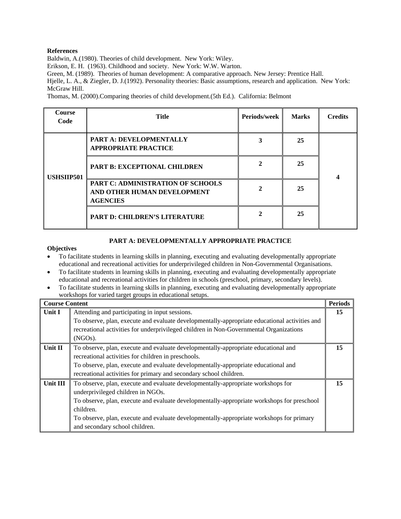Baldwin, A.(1980). Theories of child development. New York: Wiley.

Erikson, E. H. (1963). Childhood and society. New York: W.W. Warton.

Green, M. (1989). Theories of human development: A comparative approach. New Jersey: Prentice Hall.

Hjelle, L. A., & Ziegler, D. J.(1992). Personality theories: Basic assumptions, research and application. New York: McGraw Hill.

Thomas, M. (2000).Comparing theories of child development.(5th Ed.). California: Belmont

| <b>Course</b><br>Code | Title                                                                               | Periods/week | <b>Marks</b> | <b>Credits</b> |
|-----------------------|-------------------------------------------------------------------------------------|--------------|--------------|----------------|
|                       | <b>PART A: DEVELOPMENTALLY</b><br><b>APPROPRIATE PRACTICE</b>                       |              | 25           |                |
| <b>USHSIIP501</b>     | PART B: EXCEPTIONAL CHILDREN                                                        |              | 25           |                |
|                       | PART C: ADMINISTRATION OF SCHOOLS<br>AND OTHER HUMAN DEVELOPMENT<br><b>AGENCIES</b> |              | 25           |                |
|                       | <b>PART D: CHILDREN'S LITERATURE</b>                                                |              | 25           |                |

## **PART A: DEVELOPMENTALLY APPROPRIATE PRACTICE**

- To facilitate students in learning skills in planning, executing and evaluating developmentally appropriate educational and recreational activities for underprivileged children in Non-Governmental Organisations.
- To facilitate students in learning skills in planning, executing and evaluating developmentally appropriate educational and recreational activities for children in schools (preschool, primary, secondary levels).
- To facilitate students in learning skills in planning, executing and evaluating developmentally appropriate workshops for varied target groups in educational setups.

| <b>Course Content</b> |                                                                                               | <b>Periods</b> |
|-----------------------|-----------------------------------------------------------------------------------------------|----------------|
| Unit I                | Attending and participating in input sessions.                                                | 15             |
|                       | To observe, plan, execute and evaluate developmentally-appropriate educational activities and |                |
|                       | recreational activities for underprivileged children in Non-Governmental Organizations        |                |
|                       | (NGOs).                                                                                       |                |
| Unit II               | To observe, plan, execute and evaluate developmentally-appropriate educational and            | 15             |
|                       | recreational activities for children in preschools.                                           |                |
|                       | To observe, plan, execute and evaluate developmentally-appropriate educational and            |                |
|                       | recreational activities for primary and secondary school children.                            |                |
| Unit III              | To observe, plan, execute and evaluate developmentally-appropriate workshops for              | 15             |
|                       | underprivileged children in NGOs.                                                             |                |
|                       | To observe, plan, execute and evaluate developmentally-appropriate workshops for preschool    |                |
|                       | children.                                                                                     |                |
|                       | To observe, plan, execute and evaluate developmentally-appropriate workshops for primary      |                |
|                       | and secondary school children.                                                                |                |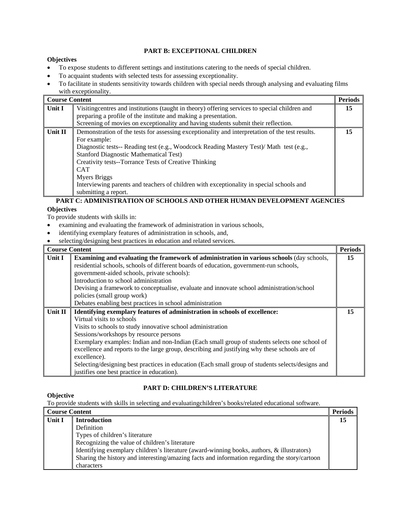## **PART B: EXCEPTIONAL CHILDREN**

#### **Objectives**

- To expose students to different settings and institutions catering to the needs of special children.
- To acquaint students with selected tests for assessing exceptionality.
- To facilitate in students sensitivity towards children with special needs through analysing and evaluating films with exceptionality.

| <b>Course Content</b> |                                                                                                 | <b>Periods</b> |
|-----------------------|-------------------------------------------------------------------------------------------------|----------------|
| Unit I                | Visitingcentres and institutions (taught in theory) offering services to special children and   | 15             |
|                       | preparing a profile of the institute and making a presentation.                                 |                |
|                       | Screening of movies on exceptionality and having students submit their reflection.              |                |
| Unit II               | Demonstration of the tests for assessing exceptionality and interpretation of the test results. | 15             |
|                       | For example:                                                                                    |                |
|                       | Diagnostic tests-- Reading test (e.g., Woodcock Reading Mastery Test)/ Math test (e.g.,         |                |
|                       | <b>Stanford Diagnostic Mathematical Test)</b>                                                   |                |
|                       | Creativity tests--Torrance Tests of Creative Thinking                                           |                |
|                       | <b>CAT</b>                                                                                      |                |
|                       | Myers Briggs                                                                                    |                |
|                       | Interviewing parents and teachers of children with exceptionality in special schools and        |                |
|                       | submitting a report.                                                                            |                |

## **PART C: ADMINISTRATION OF SCHOOLS AND OTHER HUMAN DEVELOPMENT AGENCIES Objectives**

To provide students with skills in:

- examining and evaluating the framework of administration in various schools,
- identifying exemplary features of administration in schools, and,
- selecting/designing best practices in education and related services.

| <b>Course Content</b> |                                                                                                   | <b>Periods</b> |
|-----------------------|---------------------------------------------------------------------------------------------------|----------------|
| Unit I                | <b>Examining and evaluating the framework of administration in various schools (day schools,</b>  | 15             |
|                       | residential schools, schools of different boards of education, government-run schools,            |                |
|                       | government-aided schools, private schools):                                                       |                |
|                       | Introduction to school administration                                                             |                |
|                       | Devising a framework to conceptualise, evaluate and innovate school administration/school         |                |
|                       | policies (small group work)                                                                       |                |
|                       | Debates enabling best practices in school administration                                          |                |
| Unit II               | Identifying exemplary features of administration in schools of excellence:                        | 15             |
|                       | Virtual visits to schools                                                                         |                |
|                       | Visits to schools to study innovative school administration                                       |                |
|                       | Sessions/workshops by resource persons                                                            |                |
|                       | Exemplary examples: Indian and non-Indian (Each small group of students selects one school of     |                |
|                       | excellence and reports to the large group, describing and justifying why these schools are of     |                |
|                       | excellence).                                                                                      |                |
|                       | Selecting/designing best practices in education (Each small group of students selects/designs and |                |
|                       | justifies one best practice in education).                                                        |                |

## **PART D: CHILDREN'S LITERATURE**

## **Objective**

To provide students with skills in selecting and evaluatingchildren's books/related educational software.

| <b>Course Content</b> |                                                                                               | <b>Periods</b> |
|-----------------------|-----------------------------------------------------------------------------------------------|----------------|
| Unit I                | <b>Introduction</b>                                                                           | 15             |
|                       | Definition                                                                                    |                |
|                       | Types of children's literature                                                                |                |
|                       | Recognizing the value of children's literature                                                |                |
|                       | Identifying exemplary children's literature (award-winning books, authors, & illustrators)    |                |
|                       | Sharing the history and interesting/amazing facts and information regarding the story/cartoon |                |
|                       | characters                                                                                    |                |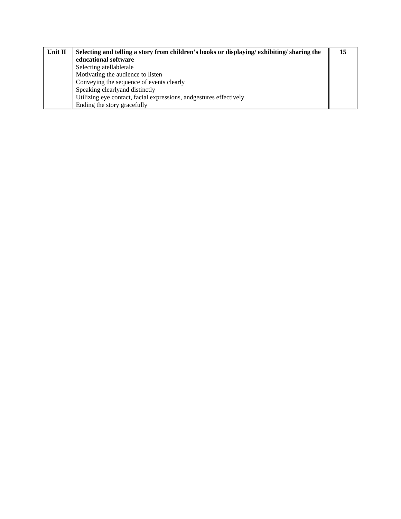| Unit II | Selecting and telling a story from children's books or displaying/exhibiting/sharing the | 15 |
|---------|------------------------------------------------------------------------------------------|----|
|         | educational software                                                                     |    |
|         | Selecting atellabletale                                                                  |    |
|         | Motivating the audience to listen                                                        |    |
|         | Conveying the sequence of events clearly                                                 |    |
|         | Speaking clearly and distinctly                                                          |    |
|         | Utilizing eye contact, facial expressions, and gestures effectively                      |    |
|         | Ending the story gracefully                                                              |    |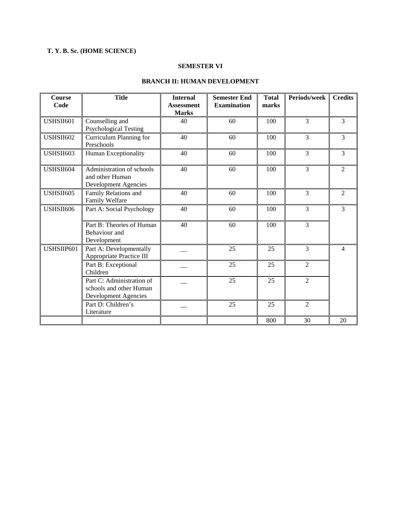## **T. Y. B. Sc. (HOME SCIENCE)**

## **SEMESTER VI**

## **BRANCH II: HUMAN DEVELOPMENT**

| <b>Course</b><br>Code | <b>Title</b>                                                                        | <b>Internal</b><br><b>Assessment</b><br><b>Marks</b> | <b>Semester End</b><br><b>Examination</b> | <b>Total</b><br>marks | Periods/week   | <b>Credits</b> |
|-----------------------|-------------------------------------------------------------------------------------|------------------------------------------------------|-------------------------------------------|-----------------------|----------------|----------------|
| USHSII601             | Counselling and<br><b>Psychological Testing</b>                                     | 40                                                   | 60                                        | 100                   | 3              | 3              |
| USHSII602             | Curriculum Planning for<br>Preschools                                               | 40                                                   | 60                                        | 100                   | 3              | 3              |
| USHSII603             | Human Exceptionality                                                                | 40                                                   | 60                                        | 100                   | $\overline{3}$ | 3              |
| USHSII604             | Administration of schools<br>and other Human<br><b>Development Agencies</b>         | 40                                                   | 60                                        | 100                   | 3              | $\overline{2}$ |
| <b>USHSII605</b>      | Family Relations and<br>Family Welfare                                              | 40                                                   | 60                                        | 100                   | $\overline{3}$ | $\overline{2}$ |
| USHSII606             | Part A: Social Psychology                                                           | 40                                                   | 60                                        | 100                   | 3              | 3              |
|                       | Part B: Theories of Human<br>Behaviour and<br>Development                           | 40                                                   | 60                                        | 100                   | $\overline{3}$ |                |
| USHSIIP601            | Part A: Developmentally<br>Appropriate Practice III                                 |                                                      | 25                                        | 25                    | $\overline{3}$ | $\overline{4}$ |
|                       | Part B: Exceptional<br>Children                                                     |                                                      | 25                                        | 25                    | $\overline{2}$ |                |
|                       | Part C: Administration of<br>schools and other Human<br><b>Development Agencies</b> |                                                      | 25                                        | 25                    | $\overline{2}$ |                |
|                       | Part D: Children's<br>Literature                                                    |                                                      | 25                                        | 25                    | $\overline{2}$ |                |
|                       |                                                                                     |                                                      |                                           | 800                   | 30             | 20             |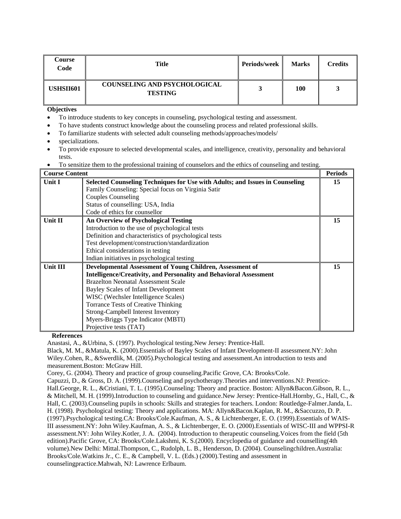| <b>Course</b><br>Code | <b>Title</b>                                          | <b>Periods/week</b> | <b>Marks</b> | <b>Credits</b> |
|-----------------------|-------------------------------------------------------|---------------------|--------------|----------------|
| <b>USHSII601</b>      | <b>COUNSELING AND PSYCHOLOGICAL</b><br><b>TESTING</b> |                     | 100          |                |

- To introduce students to key concepts in counseling, psychological testing and assessment.
- To have students construct knowledge about the counseling process and related professional skills.
- To familiarize students with selected adult counseling methods/approaches/models/
- specializations.
- To provide exposure to selected developmental scales, and intelligence, creativity, personality and behavioral tests.
- To sensitize them to the professional training of counselors and the ethics of counseling and testing.

| <b>Course Content</b> |                                                                              | <b>Periods</b> |
|-----------------------|------------------------------------------------------------------------------|----------------|
| Unit I                | Selected Counseling Techniques for Use with Adults; and Issues in Counseling | 15             |
|                       | Family Counseling: Special focus on Virginia Satir                           |                |
|                       | <b>Couples Counseling</b>                                                    |                |
|                       | Status of counselling: USA, India                                            |                |
|                       | Code of ethics for counsellor                                                |                |
| Unit II               | <b>An Overview of Psychological Testing</b>                                  | 15             |
|                       | Introduction to the use of psychological tests                               |                |
|                       | Definition and characteristics of psychological tests                        |                |
|                       | Test development/construction/standardization                                |                |
|                       | Ethical considerations in testing                                            |                |
|                       | Indian initiatives in psychological testing                                  |                |
| <b>Unit III</b>       | Developmental Assessment of Young Children, Assessment of                    | 15             |
|                       | <b>Intelligence/Creativity, and Personality and Behavioral Assessment</b>    |                |
|                       | <b>Brazelton Neonatal Assessment Scale</b>                                   |                |
|                       | Bayley Scales of Infant Development                                          |                |
|                       | WISC (Wechsler Intelligence Scales)                                          |                |
|                       | <b>Torrance Tests of Creative Thinking</b>                                   |                |
|                       | Strong-Campbell Interest Inventory                                           |                |
|                       | Myers-Briggs Type Indicator (MBTI)                                           |                |
|                       | Projective tests (TAT)                                                       |                |

**References** 

Anastasi, A., &Urbina, S. (1997). Psychological testing.New Jersey: Prentice-Hall.

Black, M. M., &Matula, K. (2000).Essentials of Bayley Scales of Infant Development-II assessment.NY: John Wiley.Cohen, R., &Swerdlik, M. (2005).Psychological testing and assessment.An introduction to tests and measurement.Boston: McGraw Hill.

Corey, G. (2004). Theory and practice of group counseling.Pacific Grove, CA: Brooks/Cole.

Capuzzi, D., & Gross, D. A. (1999).Counseling and psychotherapy.Theories and interventions.NJ: Prentice-Hall.George, R. L., &Cristiani, T. L. (1995).Counseling: Theory and practice. Boston: Allyn&Bacon.Gibson, R. L., & Mitchell, M. H. (1999).Introduction to counseling and guidance.New Jersey: Prentice-Hall.Hornby, G., Hall, C., & Hall, C. (2003).Counseling pupils in schools: Skills and strategies for teachers. London: Routledge-Falmer.Janda, L. H. (1998). Psychological testing: Theory and applications. MA: Allyn&Bacon.Kaplan, R. M., &Saccuzzo, D. P. (1997).Psychological testing.CA: Brooks/Cole.Kaufman, A. S., & Lichtenberger, E. O. (1999).Essentials of WAIS-III assessment.NY: John Wiley.Kaufman, A. S., & Lichtenberger, E. O. (2000).Essentials of WISC-III and WPPSI-R assessment.NY: John Wiley.Kotler, J. A. (2004). Introduction to therapeutic counseling.Voices from the field (5th edition).Pacific Grove, CA: Brooks/Cole.Lakshmi, K. S.(2000). Encyclopedia of guidance and counselling(4th volume).New Delhi: Mittal.Thompson, C., Rudolph, L. B., Henderson, D. (2004). Counselingchildren.Australia: Brooks/Cole.Watkins Jr., C. E., & Campbell, V. L. (Eds.) (2000).Testing and assessment in counselingpractice.Mahwah, NJ: Lawrence Erlbaum.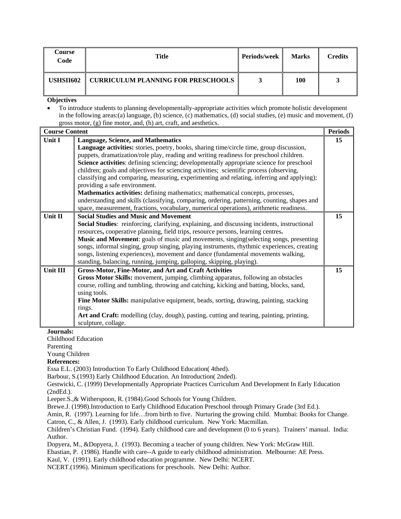| Course<br>Code | Title                                     | <b>Periods/week</b> | <b>Marks</b> | Credits |
|----------------|-------------------------------------------|---------------------|--------------|---------|
| USHSII602      | <b>CURRICULUM PLANNING FOR PRESCHOOLS</b> |                     | 100          |         |

• To introduce students to planning developmentally-appropriate activities which promote holistic development in the following areas:(a) language, (b) science, (c) mathematics, (d) social studies, (e) music and movement, (f) gross motor, (g) fine motor, and, (h) art, craft, and aesthetics.

| <b>Course Content</b> |                                                                                                     | <b>Periods</b> |
|-----------------------|-----------------------------------------------------------------------------------------------------|----------------|
| Unit I                | <b>Language, Science, and Mathematics</b>                                                           | 15             |
|                       | Language activities: stories, poetry, books, sharing time/circle time, group discussion,            |                |
|                       | puppets, dramatization/role play, reading and writing readiness for preschool children.             |                |
|                       | Science activities: defining sciencing; developmentally appropriate science for preschool           |                |
|                       | children; goals and objectives for sciencing activities; scientific process (observing,             |                |
|                       | classifying and comparing, measuring, experimenting and relating, inferring and applying);          |                |
|                       | providing a safe environment.                                                                       |                |
|                       | Mathematics activities: defining mathematics; mathematical concepts, processes,                     |                |
|                       | understanding and skills (classifying, comparing, ordering, patterning, counting, shapes and        |                |
|                       | space, measurement, fractions, vocabulary, numerical operations), arithmetic readiness.             |                |
| Unit II               | <b>Social Studies and Music and Movement</b>                                                        | 15             |
|                       | <b>Social Studies:</b> reinforcing, clarifying, explaining, and discussing incidents, instructional |                |
|                       | resources, cooperative planning, field trips, resource persons, learning centres.                   |                |
|                       | Music and Movement: goals of music and movements, singing (selecting songs, presenting              |                |
|                       | songs, informal singing, group singing, playing instruments, rhythmic experiences, creating         |                |
|                       | songs, listening experiences), movement and dance (fundamental movements walking,                   |                |
|                       | standing, balancing, running, jumping, galloping, skipping, playing).                               |                |
| Unit III              | <b>Gross-Motor, Fine-Motor, and Art and Craft Activities</b>                                        | 15             |
|                       | Gross Motor Skills: movement, jumping, climbing apparatus, following an obstacles                   |                |
|                       | course, rolling and tumbling, throwing and catching, kicking and batting, blocks, sand,             |                |
|                       | using tools.                                                                                        |                |
|                       | Fine Motor Skills: manipulative equipment, beads, sorting, drawing, painting, stacking              |                |
|                       | rings.                                                                                              |                |
|                       | Art and Craft: modelling (clay, dough), pasting, cutting and tearing, painting, printing,           |                |
|                       | sculpture, collage.                                                                                 |                |

**Journals:** 

Childhood Education

Parenting

Young Children

#### **References:**

Essa E.L. (2003) Introduction To Early Childhood Education( 4thed).

Barbour, S.(1993) Early Childhood Education. An Introduction( 2nded).

Gestwicki, C. (1999) Developmentally Appropriate Practices Curriculum And Development In Early Education (2ndEd.).

Leeper.S.,& Witherspoon, R. (1984).Good Schools for Young Children.

Brewe.J. (1998).Introduction to Early Childhood Education Preschool through Primary Grade (3rd Ed.).

Amin, R. (1997). Learning for life…from birth to five. Nurturing the growing child. Mumbai: Books for Change. Catron, C., & Allen, J. (1993). Early childhood curriculum. New York: Macmillan.

Children's Christian Fund. (1994). Early childhood care and development (0 to 6 years). Trainers' manual. India: Author.

Dopyera, M., &Dopyera, J. (1993). Becoming a teacher of young children. New York: McGraw Hill.

Ebastian, P. (1986). Handle with care--A guide to early childhood administration. Melbourne: AE Press.

Kaul, V. (1991). Early childhood education programme. New Delhi: NCERT.

NCERT.(1996). Minimum specifications for preschools. New Delhi: Author.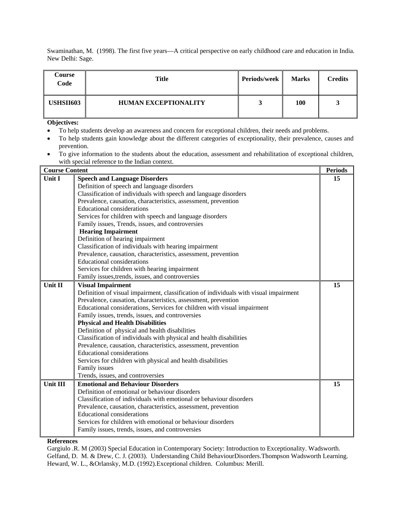Swaminathan, M. (1998). The first five years—A critical perspective on early childhood care and education in India. New Delhi: Sage.

| Course<br>Code   | <b>Title</b>                | <b>Periods/week</b> | <b>Marks</b> | <b>Credits</b> |
|------------------|-----------------------------|---------------------|--------------|----------------|
| <b>USHSII603</b> | <b>HUMAN EXCEPTIONALITY</b> |                     | 100          | ັ              |

**Objectives:** 

- To help students develop an awareness and concern for exceptional children, their needs and problems.
- To help students gain knowledge about the different categories of exceptionality, their prevalence, causes and prevention.
- To give information to the students about the education, assessment and rehabilitation of exceptional children, with special reference to the Indian context.

| <b>Course Content</b> |                                                                                       | <b>Periods</b> |
|-----------------------|---------------------------------------------------------------------------------------|----------------|
| Unit I                | <b>Speech and Language Disorders</b>                                                  | 15             |
|                       | Definition of speech and language disorders                                           |                |
|                       | Classification of individuals with speech and language disorders                      |                |
|                       | Prevalence, causation, characteristics, assessment, prevention                        |                |
|                       | <b>Educational considerations</b>                                                     |                |
|                       | Services for children with speech and language disorders                              |                |
|                       | Family issues, Trends, issues, and controversies                                      |                |
|                       | <b>Hearing Impairment</b>                                                             |                |
|                       | Definition of hearing impairment                                                      |                |
|                       | Classification of individuals with hearing impairment                                 |                |
|                       | Prevalence, causation, characteristics, assessment, prevention                        |                |
|                       | <b>Educational considerations</b>                                                     |                |
|                       | Services for children with hearing impairment                                         |                |
|                       | Family issues, trends, issues, and controversies                                      |                |
| Unit II               | <b>Visual Impairment</b>                                                              | 15             |
|                       | Definition of visual impairment, classification of individuals with visual impairment |                |
|                       | Prevalence, causation, characteristics, assessment, prevention                        |                |
|                       | Educational considerations, Services for children with visual impairment              |                |
|                       | Family issues, trends, issues, and controversies                                      |                |
|                       | <b>Physical and Health Disabilities</b>                                               |                |
|                       | Definition of physical and health disabilities                                        |                |
|                       | Classification of individuals with physical and health disabilities                   |                |
|                       | Prevalence, causation, characteristics, assessment, prevention                        |                |
|                       | <b>Educational considerations</b>                                                     |                |
|                       | Services for children with physical and health disabilities                           |                |
|                       | Family issues                                                                         |                |
|                       | Trends, issues, and controversies                                                     |                |
| Unit III              | <b>Emotional and Behaviour Disorders</b>                                              | 15             |
|                       | Definition of emotional or behaviour disorders                                        |                |
|                       | Classification of individuals with emotional or behaviour disorders                   |                |
|                       | Prevalence, causation, characteristics, assessment, prevention                        |                |
|                       | <b>Educational considerations</b>                                                     |                |
|                       | Services for children with emotional or behaviour disorders                           |                |
|                       | Family issues, trends, issues, and controversies                                      |                |

**References**

Gargiulo .R. M (2003) Special Education in Contemporary Society: Introduction to Exceptionality. Wadsworth. Gelfand, D. M. & Drew, C. J. (2003). Understanding Child BehaviourDisorders.Thompson Wadsworth Learning. Heward, W. L., &Orlansky, M.D. (1992).Exceptional children. Columbus: Merill.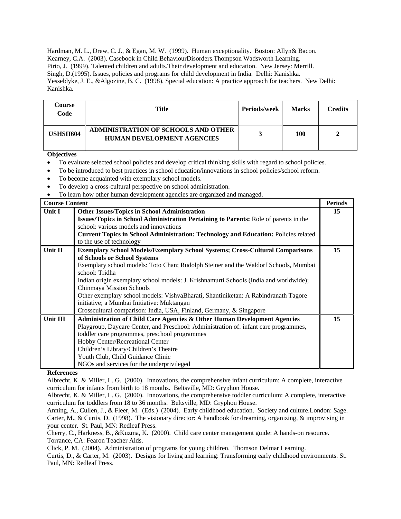Hardman, M. L., Drew, C. J., & Egan, M. W. (1999). Human exceptionality. Boston: Allyn& Bacon. Kearney, C.A. (2003). Casebook in Child BehaviourDisorders.Thompson Wadsworth Learning. Pirto, J. (1999). Talented children and adults. Their development and education. New Jersey: Merrill. Singh, D.(1995). Issues, policies and programs for child development in India. Delhi: Kanishka. Yesseldyke, J. E., &Algozine, B. C. (1998). Special education: A practice approach for teachers. New Delhi: Kanishka.

| Course<br>Code   | Title                                                                    | <b>Periods/week</b> | <b>Marks</b> | Credits |
|------------------|--------------------------------------------------------------------------|---------------------|--------------|---------|
| <b>USHSII604</b> | ADMINISTRATION OF SCHOOLS AND OTHER<br><b>HUMAN DEVELOPMENT AGENCIES</b> |                     | 100          |         |

## **Objectives**

- To evaluate selected school policies and develop critical thinking skills with regard to school policies.
- To be introduced to best practices in school education/innovations in school policies/school reform.
- To become acquainted with exemplary school models.
- To develop a cross-cultural perspective on school administration.
- To learn how other human development agencies are organized and managed.

| <b>Course Content</b> |                                                                                            | <b>Periods</b> |
|-----------------------|--------------------------------------------------------------------------------------------|----------------|
| Unit I                | <b>Other Issues/Topics in School Administration</b>                                        | 15             |
|                       | Issues/Topics in School Administration Pertaining to Parents: Role of parents in the       |                |
|                       | school: various models and innovations                                                     |                |
|                       | <b>Current Topics in School Administration: Technology and Education: Policies related</b> |                |
|                       | to the use of technology                                                                   |                |
| Unit II               | <b>Exemplary School Models/Exemplary School Systems; Cross-Cultural Comparisons</b>        | 15             |
|                       | of Schools or School Systems                                                               |                |
|                       | Exemplary school models: Toto Chan; Rudolph Steiner and the Waldorf Schools, Mumbai        |                |
|                       | school: Tridha                                                                             |                |
|                       | Indian origin exemplary school models: J. Krishnamurti Schools (India and worldwide);      |                |
|                       | Chinmaya Mission Schools                                                                   |                |
|                       | Other exemplary school models: VishvaBharati, Shantiniketan: A Rabindranath Tagore         |                |
|                       | initiative; a Mumbai Initiative: Muktangan                                                 |                |
|                       | Crosscultural comparison: India, USA, Finland, Germany, & Singapore                        |                |
| Unit III              | <b>Administration of Child Care Agencies &amp; Other Human Development Agencies</b>        | 15             |
|                       | Playgroup, Daycare Center, and Preschool: Administration of: infant care programmes,       |                |
|                       | toddler care programmes, preschool programmes                                              |                |
|                       | Hobby Center/Recreational Center                                                           |                |
|                       | Children's Library/Children's Theatre                                                      |                |
|                       | Youth Club, Child Guidance Clinic                                                          |                |
|                       | NGOs and services for the underprivileged                                                  |                |

## **References**

Albrecht, K, & Miller, L. G. (2000). Innovations, the comprehensive infant curriculum: A complete, interactive curriculum for infants from birth to 18 months. Beltsville, MD: Gryphon House.

Click, P. M. (2004). Administration of programs for young children. Thomson Delmar Learning.

Curtis, D., & Carter, M. (2003). Designs for living and learning: Transforming early childhood environments. St. Paul, MN: Redleaf Press.

Albrecht, K, & Miller, L. G. (2000). Innovations, the comprehensive toddler curriculum: A complete, interactive curriculum for toddlers from 18 to 36 months. Beltsville, MD: Gryphon House.

Anning, A., Cullen, J., & Fleer, M. (Eds.) (2004). Early childhood education. Society and culture.London: Sage. Carter, M., & Curtis, D. (1998). The visionary director: A handbook for dreaming, organizing, & improvising in your center. St. Paul, MN: Redleaf Press.

Cherry, C., Harkness, B., &Kuzma, K. (2000). Child care center management guide: A hands-on resource. Torrance, CA: Fearon Teacher Aids.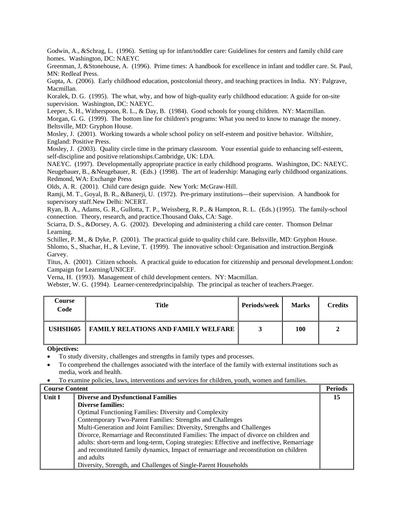Godwin, A., &Schrag, L. (1996). Setting up for infant/toddler care: Guidelines for centers and family child care homes. Washington, DC: NAEYC

Greenman, J, &Stonehouse, A. (1996). Prime times: A handbook for excellence in infant and toddler care. St. Paul, MN: Redleaf Press.

Gupta, A. (2006). Early childhood education, postcolonial theory, and teaching practices in India. NY: Palgrave, Macmillan.

Koralek, D. G. (1995). The what, why, and how of high-quality early childhood education: A guide for on-site supervision. Washington, DC: NAEYC.

Leeper, S. H., Witherspoon, R. L., & Day, B. (1984). Good schools for young children. NY: Macmillan.

Morgan, G. G. (1999). The bottom line for children's programs: What you need to know to manage the money. Beltsville, MD: Gryphon House.

Mosley, J. (2001). Working towards a whole school policy on self-esteem and positive behavior. Wiltshire, England: Positive Press.

Mosley, J. (2003). Quality circle time in the primary classroom. Your essential guide to enhancing self-esteem, self-discipline and positive relationships.Cambridge, UK: LDA.

NAEYC. (1997). Developmentally appropriate practice in early childhood programs. Washington, DC: NAEYC. Neugebauer, B., &Neugebauer, R. (Eds.) (1998). The art of leadership: Managing early childhood organizations. Redmond, WA: Exchange Press

Olds, A. R. (2001). Child care design guide. New York: McGraw-Hill.

Ramji, M. T., Goyal, B. R., &Banerji, U. (1972). Pre-primary institutions—their supervision. A handbook for supervisory staff.New Delhi: NCERT.

Ryan, B. A., Adams, G. R., Gullotta, T. P., Weissberg, R. P., & Hampton, R. L. (Eds.) (1995). The family-school connection. Theory, research, and practice.Thousand Oaks, CA: Sage.

Sciarra, D. S., &Dorsey, A. G. (2002). Developing and administering a child care center. Thomson Delmar Learning.

Schiller, P. M., & Dyke, P. (2001). The practical guide to quality child care. Beltsville, MD: Gryphon House. Shlomo, S., Shachar, H., & Levine, T. (1999). The innovative school: Organisation and instruction.Bergin& Garvey.

Titus, A. (2001). Citizen schools. A practical guide to education for citizenship and personal development.London: Campaign for Learning/UNICEF.

Verna, H. (1993). Management of child development centers. NY: Macmillan.

Webster, W. G. (1994). Learner-centeredprincipalship. The principal as teacher of teachers.Praeger.

| Course<br>Code | Title                                      | <b>Periods/week</b> | <b>Marks</b> | <b>Credits</b> |
|----------------|--------------------------------------------|---------------------|--------------|----------------|
| USHSII605      | <b>FAMILY RELATIONS AND FAMILY WELFARE</b> |                     | 100          |                |

- To study diversity, challenges and strengths in family types and processes.
- To comprehend the challenges associated with the interface of the family with external institutions such as media, work and health.
- To examine policies, laws, interventions and services for children, youth, women and families.

| <b>Course Content</b> |                                                                                            | <b>Periods</b> |
|-----------------------|--------------------------------------------------------------------------------------------|----------------|
| Unit I                | <b>Diverse and Dysfunctional Families</b>                                                  | 15             |
|                       | <b>Diverse families:</b>                                                                   |                |
|                       | <b>Optimal Functioning Families: Diversity and Complexity</b>                              |                |
|                       | Contemporary Two-Parent Families: Strengths and Challenges                                 |                |
|                       | Multi-Generation and Joint Families: Diversity, Strengths and Challenges                   |                |
|                       | Divorce, Remarriage and Reconstituted Families: The impact of divorce on children and      |                |
|                       | adults: short-term and long-term, Coping strategies: Effective and ineffective, Remarriage |                |
|                       | and reconstituted family dynamics, Impact of remarriage and reconstitution on children     |                |
|                       | and adults                                                                                 |                |
|                       | Diversity, Strength, and Challenges of Single-Parent Households                            |                |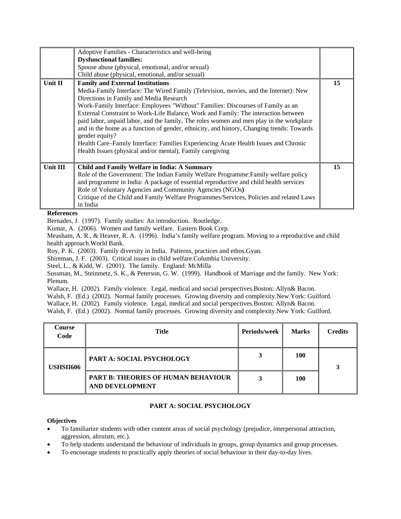|          | Adoptive Families - Characteristics and well-being                                        |    |
|----------|-------------------------------------------------------------------------------------------|----|
|          | <b>Dysfunctional families:</b>                                                            |    |
|          | Spouse abuse (physical, emotional, and/or sexual)                                         |    |
|          | Child abuse (physical, emotional, and/or sexual)                                          |    |
| Unit II  | <b>Family and External Institutions</b>                                                   | 15 |
|          | Media-Family Interface: The Wired Family (Television, movies, and the Internet): New      |    |
|          | Directions in Family and Media Research                                                   |    |
|          | Work-Family Interface: Employees "Without" Families: Discourses of Family as an           |    |
|          | External Constraint to Work-Life Balance, Work and Family: The interaction between        |    |
|          | paid labor, unpaid labor, and the family, The roles women and men play in the workplace   |    |
|          | and in the home as a function of gender, ethnicity, and history, Changing trends: Towards |    |
|          | gender equity?                                                                            |    |
|          | Health Care–Family Interface: Families Experiencing Acute Health Issues and Chronic       |    |
|          | Health Issues (physical and/or mental), Family caregiving                                 |    |
|          |                                                                                           |    |
| Unit III | Child and Family Welfare in India: A Summary                                              | 15 |
|          | Role of the Government: The Indian Family Welfare Programme: Family welfare policy        |    |
|          | and programme in India: A package of essential reproductive and child health services     |    |
|          | Role of Voluntary Agencies and Community Agencies (NGOs)                                  |    |
|          | Critique of the Child and Family Welfare Programmes/Services, Policies and related Laws   |    |
|          | in India                                                                                  |    |

Bernades, J. (1997). Family studies: An introduction. Routledge.

Kumar, A. (2006). Women and family welfare. Eastern Book Corp.

Measham, A. R., & Heaver, R. A. (1996). India's family welfare program. Moving to a reproductive and child health approach.World Bank.

Roy, P. K. (2003). Family diversity in India. Patterns, practices and ethos.Gyan.

Shireman, J. F. (2003). Critical issues in child welfare.Columbia University.

Steel, L., & Kidd, W. (2001). The family. England: McMilla

Sussman, M., Steinmetz, S. K., & Peterson, G. W. (1999). Handbook of Marriage and the family. New York: Plenum.

Wallace, H. (2002). Family violence. Legal, medical and social perspectives.Boston: Allyn& Bacon.

Walsh, F. (Ed.) (2002). Normal family processes. Growing diversity and complexity.New York: Guilford.

Wallace, H. (2002). Family violence. Legal, medical and social perspectives.Boston: Allyn& Bacon.

Walsh, F. (Ed.) (2002). Normal family processes. Growing diversity and complexity.New York: Guilford.

| <b>Course</b><br>Code | <b>Title</b>                                                         | <b>Periods/week</b> | <b>Marks</b> | <b>Credits</b> |
|-----------------------|----------------------------------------------------------------------|---------------------|--------------|----------------|
| USHSII606             | <b>PART A: SOCIAL PSYCHOLOGY</b>                                     |                     | 100          |                |
|                       | <b>PART B: THEORIES OF HUMAN BEHAVIOUR</b><br><b>AND DEVELOPMENT</b> |                     | 100          |                |

## **PART A: SOCIAL PSYCHOLOGY**

- To familiarize students with other content areas of social psychology (prejudice, interpersonal attraction, aggression, altruism, etc.).
- To help students understand the behaviour of individuals in groups, group dynamics and group processes.
- To encourage students to practically apply theories of social behaviour in their day-to-day lives.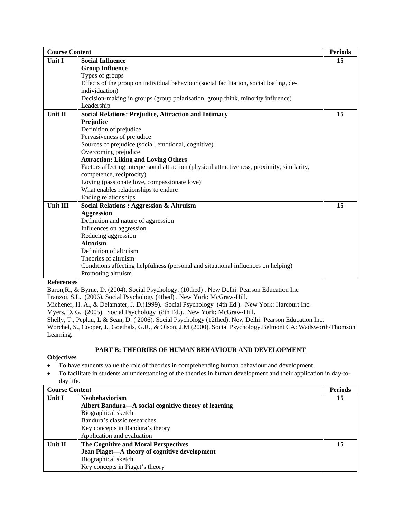| <b>Course Content</b> |                                                                                             | <b>Periods</b> |
|-----------------------|---------------------------------------------------------------------------------------------|----------------|
| <b>Unit I</b>         | <b>Social Influence</b>                                                                     | 15             |
|                       | <b>Group Influence</b>                                                                      |                |
|                       | Types of groups                                                                             |                |
|                       | Effects of the group on individual behaviour (social facilitation, social loafing, de-      |                |
|                       | individuation)                                                                              |                |
|                       | Decision-making in groups (group polarisation, group think, minority influence)             |                |
|                       | Leadership                                                                                  |                |
| Unit II               | <b>Social Relations: Prejudice, Attraction and Intimacy</b>                                 | 15             |
|                       | Prejudice                                                                                   |                |
|                       | Definition of prejudice                                                                     |                |
|                       | Pervasiveness of prejudice                                                                  |                |
|                       | Sources of prejudice (social, emotional, cognitive)                                         |                |
|                       | Overcoming prejudice                                                                        |                |
|                       | <b>Attraction: Liking and Loving Others</b>                                                 |                |
|                       | Factors affecting interpersonal attraction (physical attractiveness, proximity, similarity, |                |
|                       | competence, reciprocity)                                                                    |                |
|                       | Loving (passionate love, compassionate love)                                                |                |
|                       | What enables relationships to endure                                                        |                |
|                       | Ending relationships                                                                        |                |
| <b>Unit III</b>       | <b>Social Relations: Aggression &amp; Altruism</b>                                          | 15             |
|                       | <b>Aggression</b>                                                                           |                |
|                       | Definition and nature of aggression                                                         |                |
|                       | Influences on aggression                                                                    |                |
|                       | Reducing aggression                                                                         |                |
|                       | <b>Altruism</b>                                                                             |                |
|                       | Definition of altruism                                                                      |                |
|                       | Theories of altruism                                                                        |                |
|                       | Conditions affecting helpfulness (personal and situational influences on helping)           |                |
|                       | Promoting altruism                                                                          |                |

Baron,R., & Byrne, D. (2004). Social Psychology. (10thed) . New Delhi: Pearson Education Inc

Franzoi, S.L. (2006). Social Psychology (4thed) . New York: McGraw-Hill.

Michener, H. A., & Delamater, J. D.(1999). Social Psychology (4th Ed.). New York: Harcourt Inc.

Myers, D. G. (2005). Social Psychology (8th Ed.). New York: McGraw-Hill.

Shelly, T., Peplau, L & Sean, D. ( 2006). Social Psychology (12thed). New Delhi: Pearson Education Inc.

Worchel, S., Cooper, J., Goethals, G.R., & Olson, J.M.(2000). Social Psychology.Belmont CA: Wadsworth/Thomson Learning.

## **PART B: THEORIES OF HUMAN BEHAVIOUR AND DEVELOPMENT**

- To have students value the role of theories in comprehending human behaviour and development.
- To facilitate in students an understanding of the theories in human development and their application in day-today life.

| <b>Course Content</b> |                                                      | <b>Periods</b> |
|-----------------------|------------------------------------------------------|----------------|
| Unit I                | <b>Neobehaviorism</b>                                | 15             |
|                       | Albert Bandura-A social cognitive theory of learning |                |
|                       | Biographical sketch                                  |                |
|                       | Bandura's classic researches                         |                |
|                       | Key concepts in Bandura's theory                     |                |
|                       | Application and evaluation                           |                |
| <b>Unit II</b>        | The Cognitive and Moral Perspectives                 | 15             |
|                       | Jean Piaget—A theory of cognitive development        |                |
|                       | Biographical sketch                                  |                |
|                       | Key concepts in Piaget's theory                      |                |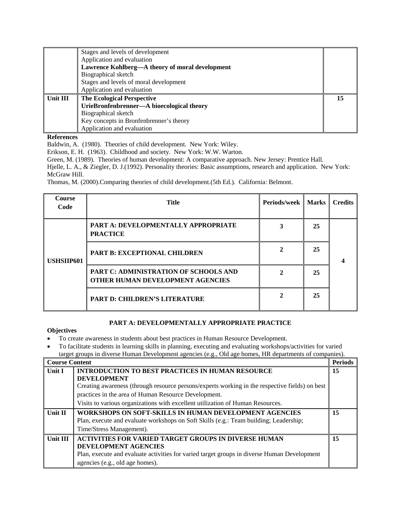|          | Stages and levels of development                |    |
|----------|-------------------------------------------------|----|
|          | Application and evaluation                      |    |
|          | Lawrence Kohlberg—A theory of moral development |    |
|          | Biographical sketch                             |    |
|          | Stages and levels of moral development          |    |
|          | Application and evaluation                      |    |
| Unit III | <b>The Ecological Perspective</b>               | 15 |
|          | UrieBronfenbrenner-A bioecological theory       |    |
|          | Biographical sketch                             |    |
|          | Key concepts in Bronfenbrenner's theory         |    |
|          | Application and evaluation                      |    |

Baldwin, A. (1980). Theories of child development. New York: Wiley.

Erikson, E. H. (1963). Childhood and society. New York: W.W. Warton.

Green, M. (1989). Theories of human development: A comparative approach. New Jersey: Prentice Hall.

Hjelle, L. A., & Ziegler, D. J.(1992). Personality theories: Basic assumptions, research and application. New York: McGraw Hill.

Thomas, M. (2000).Comparing theories of child development.(5th Ed.). California: Belmont.

| <b>Course</b><br>Code | Title                                                                     | Periods/week | <b>Marks</b> | <b>Credits</b> |
|-----------------------|---------------------------------------------------------------------------|--------------|--------------|----------------|
| USHSIIP601            | PART A: DEVELOPMENTALLY APPROPRIATE<br><b>PRACTICE</b>                    |              | 25           |                |
|                       | <b>PART B: EXCEPTIONAL CHILDREN</b>                                       |              | 25           |                |
|                       | PART C: ADMINISTRATION OF SCHOOLS AND<br>OTHER HUMAN DEVELOPMENT AGENCIES |              | 25           |                |
|                       | <b>PART D: CHILDREN'S LITERATURE</b>                                      |              | 25           |                |

## **PART A: DEVELOPMENTALLY APPROPRIATE PRACTICE**

## **Objectives**

• To create awareness in students about best practices in Human Resource Development.

• To facilitate students in learning skills in planning, executing and evaluating workshops/activities for varied target groups in diverse Human Development agencies (e.g., Old age homes, HR departments of companies).

|                | <b>Course Content</b>                                                                                                                                                                                                 |    |
|----------------|-----------------------------------------------------------------------------------------------------------------------------------------------------------------------------------------------------------------------|----|
| <b>Unit I</b>  | <b>INTRODUCTION TO BEST PRACTICES IN HUMAN RESOURCE</b><br><b>DEVELOPMENT</b>                                                                                                                                         | 15 |
|                | Creating awareness (through resource persons/experts working in the respective fields) on best                                                                                                                        |    |
|                | practices in the area of Human Resource Development.                                                                                                                                                                  |    |
|                | Visits to various organizations with excellent utilization of Human Resources.                                                                                                                                        |    |
| <b>Unit II</b> | WORKSHOPS ON SOFT-SKILLS IN HUMAN DEVELOPMENT AGENCIES<br>Plan, execute and evaluate workshops on Soft Skills (e.g.: Team building; Leadership;<br>Time/Stress Management).                                           | 15 |
| Unit III       | <b>ACTIVITIES FOR VARIED TARGET GROUPS IN DIVERSE HUMAN</b><br>DEVELOPMENT AGENCIES<br>Plan, execute and evaluate activities for varied target groups in diverse Human Development<br>agencies (e.g., old age homes). | 15 |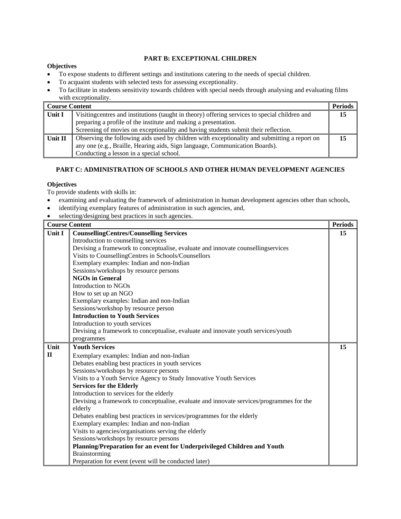## **PART B: EXCEPTIONAL CHILDREN**

#### **Objectives**

- To expose students to different settings and institutions catering to the needs of special children.
- To acquaint students with selected tests for assessing exceptionality.
- To facilitate in students sensitivity towards children with special needs through analysing and evaluating films with exceptionality.

| Course Content      |                                                                                                                                                                             | <b>Periods</b> |
|---------------------|-----------------------------------------------------------------------------------------------------------------------------------------------------------------------------|----------------|
| $\parallel$ Unit I  | Visiting centres and institutions (taught in theory) offering services to special children and                                                                              |                |
|                     | preparing a profile of the institute and making a presentation.                                                                                                             |                |
|                     | Screening of movies on exceptionality and having students submit their reflection.                                                                                          |                |
| $\parallel$ Unit II | Observing the following aids used by children with exceptionality and submitting a report on<br>any one (e.g., Braille, Hearing aids, Sign language, Communication Boards). |                |
|                     | Conducting a lesson in a special school.                                                                                                                                    |                |

## **PART C: ADMINISTRATION OF SCHOOLS AND OTHER HUMAN DEVELOPMENT AGENCIES**

## **Objectives**

To provide students with skills in:

- examining and evaluating the framework of administration in human development agencies other than schools,
- identifying exemplary features of administration in such agencies, and,
- selecting/designing best practices in such agencies.

|              | <b>Course Content</b>                                                                    | <b>Periods</b> |
|--------------|------------------------------------------------------------------------------------------|----------------|
| Unit I       | <b>CounsellingCentres/Counselling Services</b>                                           | 15             |
|              | Introduction to counselling services                                                     |                |
|              | Devising a framework to conceptualise, evaluate and innovate counsellingservices         |                |
|              | Visits to CounsellingCentres in Schools/Counsellors                                      |                |
|              | Exemplary examples: Indian and non-Indian                                                |                |
|              | Sessions/workshops by resource persons                                                   |                |
|              | <b>NGOs in General</b>                                                                   |                |
|              | Introduction to NGOs                                                                     |                |
|              | How to set up an NGO                                                                     |                |
|              | Exemplary examples: Indian and non-Indian                                                |                |
|              | Sessions/workshop by resource person                                                     |                |
|              | <b>Introduction to Youth Services</b>                                                    |                |
|              | Introduction to youth services                                                           |                |
|              | Devising a framework to conceptualise, evaluate and innovate youth services/youth        |                |
|              | programmes                                                                               |                |
| Unit         | <b>Youth Services</b>                                                                    | 15             |
| $\mathbf{H}$ | Exemplary examples: Indian and non-Indian                                                |                |
|              | Debates enabling best practices in youth services                                        |                |
|              | Sessions/workshops by resource persons                                                   |                |
|              | Visits to a Youth Service Agency to Study Innovative Youth Services                      |                |
|              | <b>Services for the Elderly</b>                                                          |                |
|              | Introduction to services for the elderly                                                 |                |
|              | Devising a framework to conceptualise, evaluate and innovate services/programmes for the |                |
|              | elderly                                                                                  |                |
|              | Debates enabling best practices in services/programmes for the elderly                   |                |
|              | Exemplary examples: Indian and non-Indian                                                |                |
|              | Visits to agencies/organisations serving the elderly                                     |                |
|              | Sessions/workshops by resource persons                                                   |                |
|              | Planning/Preparation for an event for Underprivileged Children and Youth                 |                |
|              | Brainstorming                                                                            |                |
|              | Preparation for event (event will be conducted later)                                    |                |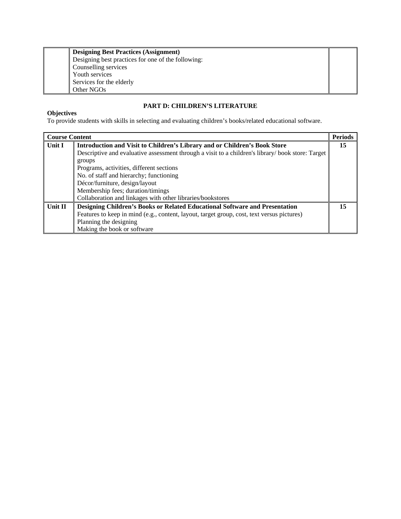| <b>Designing Best Practices (Assignment)</b><br>Designing best practices for one of the following: |
|----------------------------------------------------------------------------------------------------|
| Counselling services                                                                               |
| Youth services                                                                                     |
| Services for the elderly                                                                           |
| Other NGOs                                                                                         |

## **PART D: CHILDREN'S LITERATURE**

#### **Objectives**

To provide students with skills in selecting and evaluating children's books/related educational software.

|         | <b>Course Content</b>                                                                            |    |
|---------|--------------------------------------------------------------------------------------------------|----|
| Unit I  | Introduction and Visit to Children's Library and or Children's Book Store                        | 15 |
|         | Descriptive and evaluative assessment through a visit to a children's library/book store: Target |    |
|         | groups                                                                                           |    |
|         | Programs, activities, different sections                                                         |    |
|         | No. of staff and hierarchy; functioning                                                          |    |
|         | Décor/furniture, design/layout                                                                   |    |
|         | Membership fees; duration/timings                                                                |    |
|         | Collaboration and linkages with other libraries/bookstores                                       |    |
| Unit II | <b>Designing Children's Books or Related Educational Software and Presentation</b>               | 15 |
|         | Features to keep in mind (e.g., content, layout, target group, cost, text versus pictures)       |    |
|         | Planning the designing                                                                           |    |
|         | Making the book or software                                                                      |    |